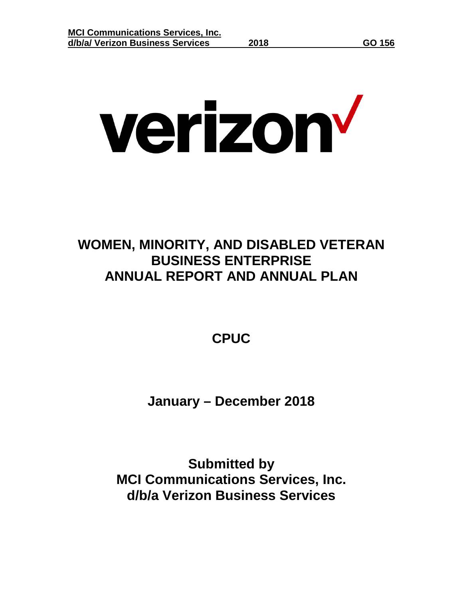# verizon<sup>v</sup>

## **WOMEN, MINORITY, AND DISABLED VETERAN BUSINESS ENTERPRISE ANNUAL REPORT AND ANNUAL PLAN**

**CPUC**

**January – December 2018**

**Submitted by MCI Communications Services, Inc. d/b/a Verizon Business Services**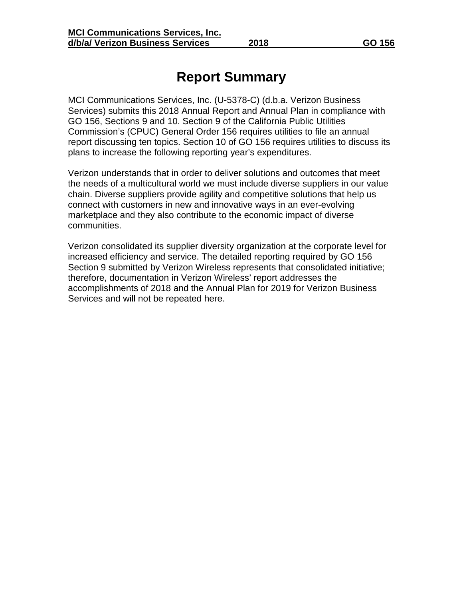## **Report Summary**

MCI Communications Services, Inc. (U-5378-C) (d.b.a. Verizon Business Services) submits this 2018 Annual Report and Annual Plan in compliance with GO 156, Sections 9 and 10. Section 9 of the California Public Utilities Commission's (CPUC) General Order 156 requires utilities to file an annual report discussing ten topics. Section 10 of GO 156 requires utilities to discuss its plans to increase the following reporting year's expenditures.

Verizon understands that in order to deliver solutions and outcomes that meet the needs of a multicultural world we must include diverse suppliers in our value chain. Diverse suppliers provide agility and competitive solutions that help us connect with customers in new and innovative ways in an ever-evolving marketplace and they also contribute to the economic impact of diverse communities.

Verizon consolidated its supplier diversity organization at the corporate level for increased efficiency and service. The detailed reporting required by GO 156 Section 9 submitted by Verizon Wireless represents that consolidated initiative; therefore, documentation in Verizon Wireless' report addresses the accomplishments of 2018 and the Annual Plan for 2019 for Verizon Business Services and will not be repeated here.